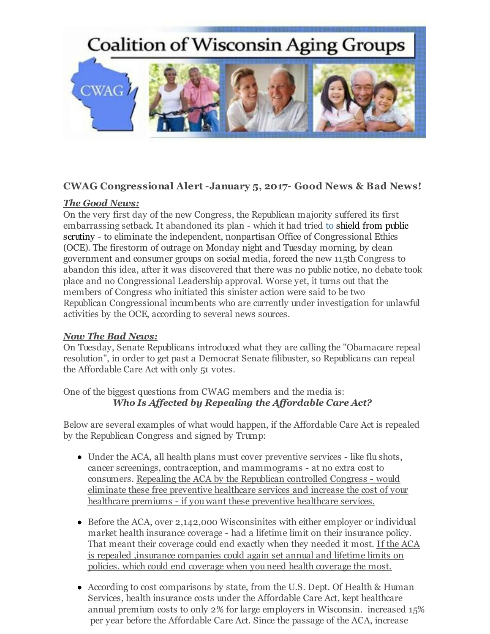

## **CWAG Congressional Alert -January 5, 2017- Good News & Bad News!**

## *The Good News:*

On the very first day of the new Congress, the Republican majority suffered its first embarrassing setback. It abandoned its plan - which it had tried to shield from public scrutiny - to eliminate the independent, nonpartisan Office of Congressional Ethics (OCE). The firestorm of outrage on Monday night and Tuesday morning, by clean government and consumer groups on social media, forced the new 115th Congress to abandon this idea, after it was discovered that there was no public notice, no debate took place and no Congressional Leadership approval. Worse yet, it turns out that the members of Congress who initiated this sinister action were said to be two Republican Congressional incumbents who are currently under investigation for unlawful activities by the OCE, according to several news sources.

## *Now The Bad News:*

On Tuesday, Senate Republicans introduced what they are calling the "Obamacare repeal resolution", in order to get past a Democrat Senate filibuster, so Republicans can repeal the Affordable Care Act with only 51 votes.

One of the biggest questions from CWAG members and the media is: *Who Is Affected by Repealing the Affordable Care Act?*

Below are several examples of what would happen, if the Affordable Care Act is repealed by the Republican Congress and signed by Trump:

- Under the ACA, all health plans must cover preventive services like flu shots, cancer screenings, contraception, and mammograms - at no extra cost to consumers. Repealing the ACA by the Republican controlled Congress - would eliminate these free preventive healthcare services and increase the cost of your healthcare premiums - if you want these preventive healthcare services.
- Before the ACA, over 2,142,000 Wisconsinites with either employer or individual market health insurance coverage - had a lifetime limit on their insurance policy. That meant their coverage could end exactly when they needed it most. If the ACA is repealed ,insurance companies could again set annual and lifetime limits on policies, which could end coverage when you need health coverage the most.
- According to cost comparisons by state, from the U.S. Dept. Of Health & Human Services, health insurance costs under the Affordable Care Act, kept healthcare annual premium costs to only 2% for large employers in Wisconsin. increased 15% per year before the Affordable Care Act. Since the passage of the ACA, increase